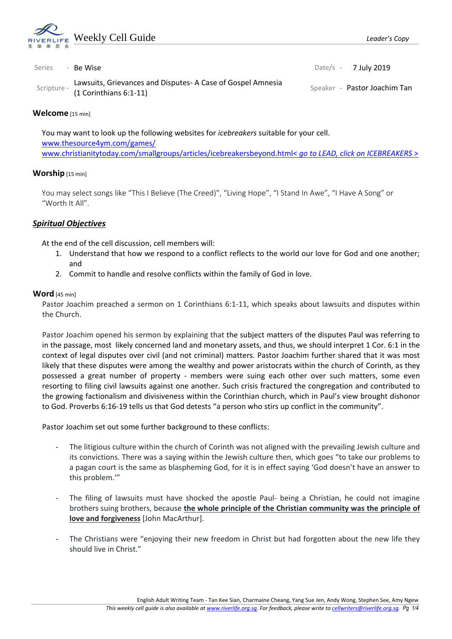

| Series | - Be Wise                                                                                         | Date/s $-7$ July 2019        |
|--------|---------------------------------------------------------------------------------------------------|------------------------------|
|        | Lawsuits, Grievances and Disputes- A Case of Gospel Amnesia<br>scripture - (1 Corinthians 6:1-11) | Speaker - Pastor Joachim Tan |

#### **Welcome** [15 min]

You may want to look up the following websites for *icebreakers* suitable for your cell. [www.thesource4ym.com/games/](http://www.thesource4ym.com/games/) [www.christianitytoday.com/smallgroups/articles/icebreakersbeyond.html<](http://www.christianitytoday.com/smallgroups/articles/icebreakersbeyond.html) *go to LEAD, click on ICEBREAKERS* >

### **Worship** [15 min]

You may select songs like "This I Believe (The Creed)", "Living Hope", "I Stand In Awe", "I Have A Song" or "Worth It All".

### *Spiritual Objectives*

At the end of the cell discussion, cell members will:

- 1. Understand that how we respond to a conflict reflects to the world our love for God and one another; and
- 2. Commit to handle and resolve conflicts within the family of God in love.

#### **Word** [45 min]

Pastor Joachim preached a sermon on 1 Corinthians 6:1-11, which speaks about lawsuits and disputes within the Church.

Pastor Joachim opened his sermon by explaining that the subject matters of the disputes Paul was referring to in the passage, most likely concerned land and monetary assets, and thus, we should interpret 1 Cor. 6:1 in the context of legal disputes over civil (and not criminal) matters. Pastor Joachim further shared that it was most likely that these disputes were among the wealthy and power aristocrats within the church of Corinth, as they possessed a great number of property - members were suing each other over such matters, some even resorting to filing civil lawsuits against one another. Such crisis fractured the congregation and contributed to the growing factionalism and divisiveness within the Corinthian church, which in Paul's view brought dishonor to God. Proverbs 6:16-19 tells us that God detests "a person who stirs up conflict in the community".

Pastor Joachim set out some further background to these conflicts:

- The litigious culture within the church of Corinth was not aligned with the prevailing Jewish culture and its convictions. There was a saying within the Jewish culture then, which goes "to take our problems to a pagan court is the same as blaspheming God, for it is in effect saying 'God doesn't have an answer to this problem.'"
- The filing of lawsuits must have shocked the apostle Paul- being a Christian, he could not imagine brothers suing brothers, because **the whole principle of the Christian community was the principle of love and forgiveness** [John MacArthur].
- The Christians were "enjoying their new freedom in Christ but had forgotten about the new life they should live in Christ."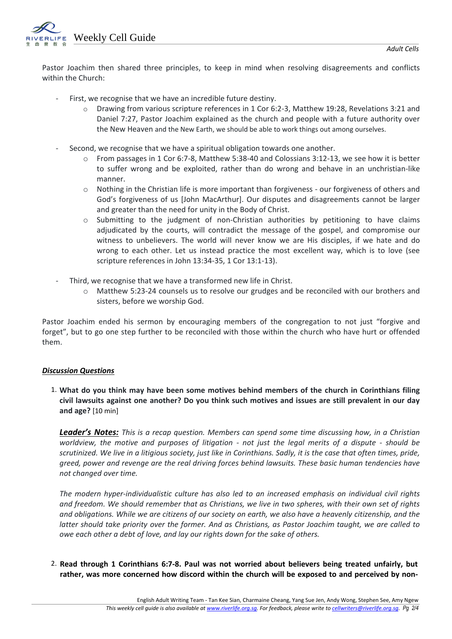Weekly Cell Guide

Pastor Joachim then shared three principles, to keep in mind when resolving disagreements and conflicts within the Church:

- First, we recognise that we have an incredible future destiny.
	- Drawing from various scripture references in 1 Cor 6:2-3, Matthew 19:28, Revelations 3:21 and Daniel 7:27, Pastor Joachim explained as the church and people with a future authority over the New Heaven and the New Earth, we should be able to work things out among ourselves.
- Second, we recognise that we have a spiritual obligation towards one another.
	- o From passages in 1 Cor 6:7-8, Matthew 5:38-40 and Colossians 3:12-13, we see how it is better to suffer wrong and be exploited, rather than do wrong and behave in an unchristian-like manner.
	- o Nothing in the Christian life is more important than forgiveness our forgiveness of others and God's forgiveness of us [John MacArthur]. Our disputes and disagreements cannot be larger and greater than the need for unity in the Body of Christ.
	- o Submitting to the judgment of non-Christian authorities by petitioning to have claims adjudicated by the courts, will contradict the message of the gospel, and compromise our witness to unbelievers. The world will never know we are His disciples, if we hate and do wrong to each other. Let us instead practice the most excellent way, which is to love (see scripture references in John 13:34-35, 1 Cor 13:1-13).
- Third, we recognise that we have a transformed new life in Christ.
	- o Matthew 5:23-24 counsels us to resolve our grudges and be reconciled with our brothers and sisters, before we worship God.

Pastor Joachim ended his sermon by encouraging members of the congregation to not just "forgive and forget", but to go one step further to be reconciled with those within the church who have hurt or offended them.

### *Discussion Questions*

1. **What do you think may have been some motives behind members of the church in Corinthians filing civil lawsuits against one another? Do you think such motives and issues are still prevalent in our day and age?** [10 min]

*Leader's Notes: This is a recap question. Members can spend some time discussing how, in a Christian worldview, the motive and purposes of litigation - not just the legal merits of a dispute - should be scrutinized. We live in a litigious society, just like in Corinthians. Sadly, it is the case that often times, pride, greed, power and revenge are the real driving forces behind lawsuits. These basic human tendencies have not changed over time.*

*The modern hyper-individualistic culture has also led to an increased emphasis on individual civil rights and freedom. We should remember that as Christians, we live in two spheres, with their own set of rights and obligations. While we are citizens of our society on earth, we also have a heavenly citizenship, and the latter should take priority over the former. And as Christians, as Pastor Joachim taught, we are called to owe each other a debt of love, and lay our rights down for the sake of others.* 

2. **Read through 1 Corinthians 6:7-8. Paul was not worried about believers being treated unfairly, but rather, was more concerned how discord within the church will be exposed to and perceived by non-**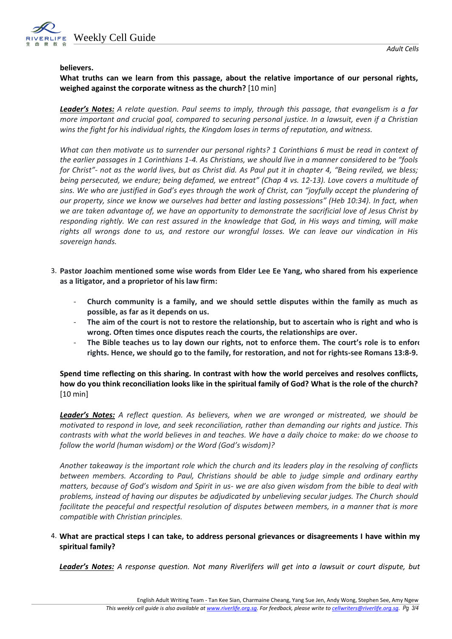

#### **believers.**

# **What truths can we learn from this passage, about the relative importance of our personal rights, weighed against the corporate witness as the church?** [10 min]

*Leader's Notes: A relate question. Paul seems to imply, through this passage, that evangelism is a far more important and crucial goal, compared to securing personal justice. In a lawsuit, even if a Christian wins the fight for his individual rights, the Kingdom loses in terms of reputation, and witness.* 

*What can then motivate us to surrender our personal rights? 1 Corinthians 6 must be read in context of the earlier passages in 1 Corinthians 1-4. As Christians, we should live in a manner considered to be "fools for Christ"- not as the world lives, but as Christ did. As Paul put it in chapter 4, "Being reviled, we bless; being persecuted, we endure; being defamed, we entreat" (Chap 4 vs. 12-13). Love covers a multitude of sins. We who are justified in God's eyes through the work of Christ, can "joyfully accept the plundering of our property, since we know we ourselves had better and lasting possessions" (Heb 10:34). In fact, when we are taken advantage of, we have an opportunity to demonstrate the sacrificial love of Jesus Christ by responding rightly. We can rest assured in the knowledge that God, in His ways and timing, will make rights all wrongs done to us, and restore our wrongful losses. We can leave our vindication in His sovereign hands.* 

- 3. **Pastor Joachim mentioned some wise words from Elder Lee Ee Yang, who shared from his experience as a litigator, and a proprietor of his law firm:** 
	- **Church community is a family, and we should settle disputes within the family as much as possible, as far as it depends on us.**
	- The aim of the court is not to restore the relationship, but to ascertain who is right and who is **wrong. Often times once disputes reach the courts, the relationships are over.**
	- **The Bible teaches us to lay down our rights, not to enforce them. The court's role is to enforce rights. Hence, we should go to the family, for restoration, and not for rights-see Romans 13:8-9.**

**Spend time reflecting on this sharing. In contrast with how the world perceives and resolves conflicts, how do you think reconciliation looks like in the spiritual family of God? What is the role of the church?** [10 min]

*Leader's Notes: A reflect question. As believers, when we are wronged or mistreated, we should be motivated to respond in love, and seek reconciliation, rather than demanding our rights and justice. This contrasts with what the world believes in and teaches. We have a daily choice to make: do we choose to follow the world (human wisdom) or the Word (God's wisdom)?*

*Another takeaway is the important role which the church and its leaders play in the resolving of conflicts between members. According to Paul, Christians should be able to judge simple and ordinary earthy matters, because of God's wisdom and Spirit in us- we are also given wisdom from the bible to deal with problems, instead of having our disputes be adjudicated by unbelieving secular judges. The Church should facilitate the peaceful and respectful resolution of disputes between members, in a manner that is more compatible with Christian principles.* 

### 4. **What are practical steps I can take, to address personal grievances or disagreements I have within my spiritual family?**

*Leader's Notes: A response question. Not many Riverlifers will get into a lawsuit or court dispute, but*